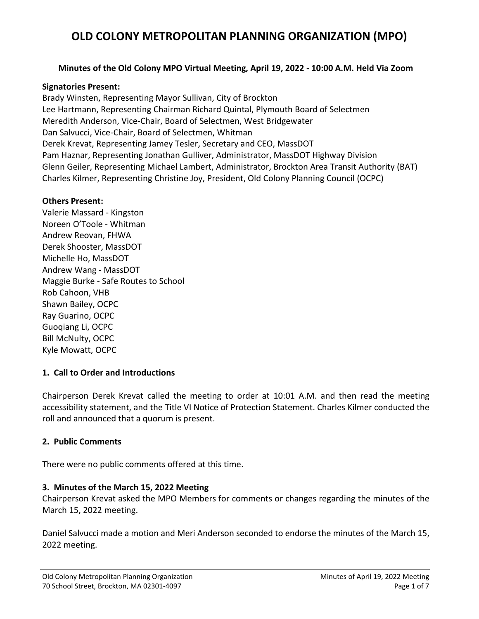#### **Minutes of the Old Colony MPO Virtual Meeting, April 19, 2022 - 10:00 A.M. Held Via Zoom**

#### **Signatories Present:**

Brady Winsten, Representing Mayor Sullivan, City of Brockton Lee Hartmann, Representing Chairman Richard Quintal, Plymouth Board of Selectmen Meredith Anderson, Vice-Chair, Board of Selectmen, West Bridgewater Dan Salvucci, Vice-Chair, Board of Selectmen, Whitman Derek Krevat, Representing Jamey Tesler, Secretary and CEO, MassDOT Pam Haznar, Representing Jonathan Gulliver, Administrator, MassDOT Highway Division Glenn Geiler, Representing Michael Lambert, Administrator, Brockton Area Transit Authority (BAT) Charles Kilmer, Representing Christine Joy, President, Old Colony Planning Council (OCPC)

#### **Others Present:**

Valerie Massard - Kingston Noreen O'Toole - Whitman Andrew Reovan, FHWA Derek Shooster, MassDOT Michelle Ho, MassDOT Andrew Wang - MassDOT Maggie Burke - Safe Routes to School Rob Cahoon, VHB Shawn Bailey, OCPC Ray Guarino, OCPC Guoqiang Li, OCPC Bill McNulty, OCPC Kyle Mowatt, OCPC

#### **1. Call to Order and Introductions**

Chairperson Derek Krevat called the meeting to order at 10:01 A.M. and then read the meeting accessibility statement, and the Title VI Notice of Protection Statement. Charles Kilmer conducted the roll and announced that a quorum is present.

#### **2. Public Comments**

There were no public comments offered at this time.

#### **3. Minutes of the March 15, 2022 Meeting**

Chairperson Krevat asked the MPO Members for comments or changes regarding the minutes of the March 15, 2022 meeting.

Daniel Salvucci made a motion and Meri Anderson seconded to endorse the minutes of the March 15, 2022 meeting.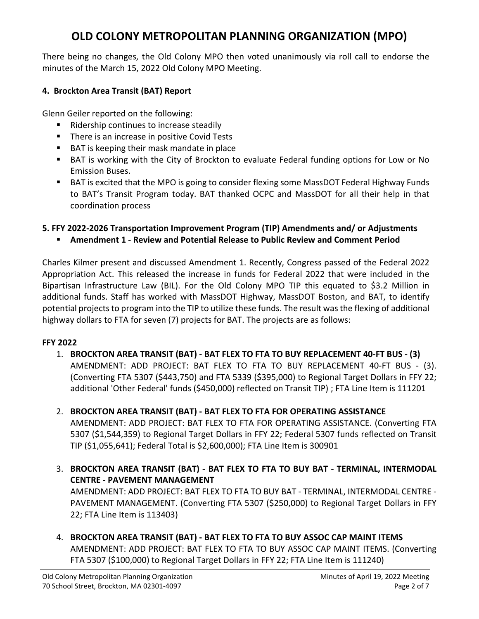There being no changes, the Old Colony MPO then voted unanimously via roll call to endorse the minutes of the March 15, 2022 Old Colony MPO Meeting.

## **4. Brockton Area Transit (BAT) Report**

Glenn Geiler reported on the following:

- Ridership continues to increase steadily
- **There is an increase in positive Covid Tests**
- BAT is keeping their mask mandate in place
- BAT is working with the City of Brockton to evaluate Federal funding options for Low or No Emission Buses.
- BAT is excited that the MPO is going to consider flexing some MassDOT Federal Highway Funds to BAT's Transit Program today. BAT thanked OCPC and MassDOT for all their help in that coordination process

### **5. FFY 2022-2026 Transportation Improvement Program (TIP) Amendments and/ or Adjustments**

**Amendment 1 - Review and Potential Release to Public Review and Comment Period**

Charles Kilmer present and discussed Amendment 1. Recently, Congress passed of the Federal 2022 Appropriation Act. This released the increase in funds for Federal 2022 that were included in the Bipartisan Infrastructure Law (BIL). For the Old Colony MPO TIP this equated to \$3.2 Million in additional funds. Staff has worked with MassDOT Highway, MassDOT Boston, and BAT, to identify potential projects to program into the TIP to utilize these funds. The result was the flexing of additional highway dollars to FTA for seven (7) projects for BAT. The projects are as follows:

### **FFY 2022**

- 1. **BROCKTON AREA TRANSIT (BAT) - BAT FLEX TO FTA TO BUY REPLACEMENT 40-FT BUS - (3)** AMENDMENT: ADD PROJECT: BAT FLEX TO FTA TO BUY REPLACEMENT 40-FT BUS - (3). (Converting FTA 5307 (\$443,750) and FTA 5339 (\$395,000) to Regional Target Dollars in FFY 22; additional 'Other Federal' funds (\$450,000) reflected on Transit TIP) ; FTA Line Item is 111201
- 2. **BROCKTON AREA TRANSIT (BAT) - BAT FLEX TO FTA FOR OPERATING ASSISTANCE** AMENDMENT: ADD PROJECT: BAT FLEX TO FTA FOR OPERATING ASSISTANCE. (Converting FTA 5307 (\$1,544,359) to Regional Target Dollars in FFY 22; Federal 5307 funds reflected on Transit TIP (\$1,055,641); Federal Total is \$2,600,000); FTA Line Item is 300901
- 3. **BROCKTON AREA TRANSIT (BAT) - BAT FLEX TO FTA TO BUY BAT - TERMINAL, INTERMODAL CENTRE - PAVEMENT MANAGEMENT**

AMENDMENT: ADD PROJECT: BAT FLEX TO FTA TO BUY BAT - TERMINAL, INTERMODAL CENTRE - PAVEMENT MANAGEMENT. (Converting FTA 5307 (\$250,000) to Regional Target Dollars in FFY 22; FTA Line Item is 113403)

4. **BROCKTON AREA TRANSIT (BAT) - BAT FLEX TO FTA TO BUY ASSOC CAP MAINT ITEMS** AMENDMENT: ADD PROJECT: BAT FLEX TO FTA TO BUY ASSOC CAP MAINT ITEMS. (Converting FTA 5307 (\$100,000) to Regional Target Dollars in FFY 22; FTA Line Item is 111240)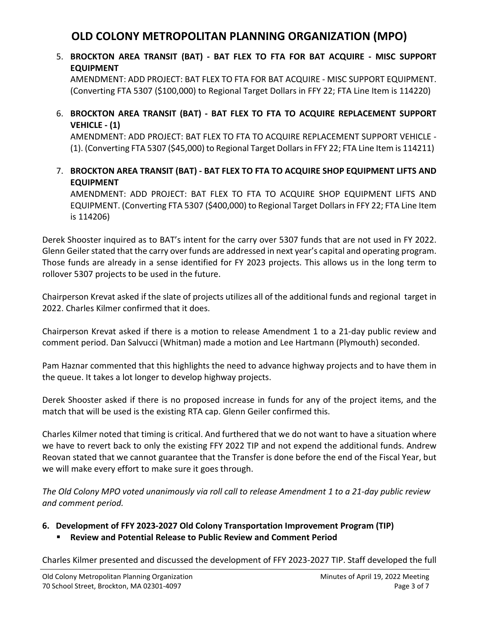## 5. **BROCKTON AREA TRANSIT (BAT) - BAT FLEX TO FTA FOR BAT ACQUIRE - MISC SUPPORT EQUIPMENT**

AMENDMENT: ADD PROJECT: BAT FLEX TO FTA FOR BAT ACQUIRE - MISC SUPPORT EQUIPMENT. (Converting FTA 5307 (\$100,000) to Regional Target Dollars in FFY 22; FTA Line Item is 114220)

### 6. **BROCKTON AREA TRANSIT (BAT) - BAT FLEX TO FTA TO ACQUIRE REPLACEMENT SUPPORT VEHICLE - (1)**

AMENDMENT: ADD PROJECT: BAT FLEX TO FTA TO ACQUIRE REPLACEMENT SUPPORT VEHICLE - (1). (Converting FTA 5307 (\$45,000) to Regional Target Dollars in FFY 22; FTA Line Item is 114211)

### 7. **BROCKTON AREA TRANSIT (BAT) - BAT FLEX TO FTA TO ACQUIRE SHOP EQUIPMENT LIFTS AND EQUIPMENT**

AMENDMENT: ADD PROJECT: BAT FLEX TO FTA TO ACQUIRE SHOP EQUIPMENT LIFTS AND EQUIPMENT. (Converting FTA 5307 (\$400,000) to Regional Target Dollars in FFY 22; FTA Line Item is 114206)

Derek Shooster inquired as to BAT's intent for the carry over 5307 funds that are not used in FY 2022. Glenn Geiler stated that the carry over funds are addressed in next year's capital and operating program. Those funds are already in a sense identified for FY 2023 projects. This allows us in the long term to rollover 5307 projects to be used in the future.

Chairperson Krevat asked if the slate of projects utilizes all of the additional funds and regional target in 2022. Charles Kilmer confirmed that it does.

Chairperson Krevat asked if there is a motion to release Amendment 1 to a 21-day public review and comment period. Dan Salvucci (Whitman) made a motion and Lee Hartmann (Plymouth) seconded.

Pam Haznar commented that this highlights the need to advance highway projects and to have them in the queue. It takes a lot longer to develop highway projects.

Derek Shooster asked if there is no proposed increase in funds for any of the project items, and the match that will be used is the existing RTA cap. Glenn Geiler confirmed this.

Charles Kilmer noted that timing is critical. And furthered that we do not want to have a situation where we have to revert back to only the existing FFY 2022 TIP and not expend the additional funds. Andrew Reovan stated that we cannot guarantee that the Transfer is done before the end of the Fiscal Year, but we will make every effort to make sure it goes through.

*The Old Colony MPO voted unanimously via roll call to release Amendment 1 to a 21-day public review and comment period.*

## **6. Development of FFY 2023-2027 Old Colony Transportation Improvement Program (TIP)**

## **Review and Potential Release to Public Review and Comment Period**

Charles Kilmer presented and discussed the development of FFY 2023-2027 TIP. Staff developed the full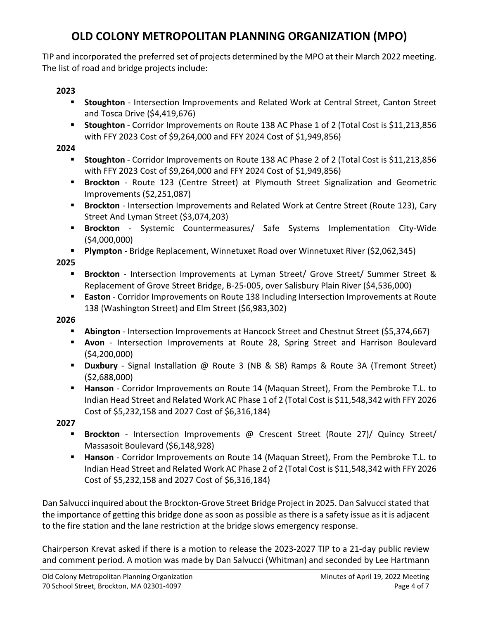TIP and incorporated the preferred set of projects determined by the MPO at their March 2022 meeting. The list of road and bridge projects include:

## **2023**

- **Stoughton** Intersection Improvements and Related Work at Central Street, Canton Street and Tosca Drive (\$4,419,676)
- **Stoughton** Corridor Improvements on Route 138 AC Phase 1 of 2 (Total Cost is \$11,213,856 with FFY 2023 Cost of \$9,264,000 and FFY 2024 Cost of \$1,949,856)

### **2024**

- **Stoughton** Corridor Improvements on Route 138 AC Phase 2 of 2 (Total Cost is \$11,213,856 with FFY 2023 Cost of \$9,264,000 and FFY 2024 Cost of \$1,949,856)
- **Brockton** Route 123 (Centre Street) at Plymouth Street Signalization and Geometric Improvements (\$2,251,087)
- **Brockton** Intersection Improvements and Related Work at Centre Street (Route 123), Cary Street And Lyman Street (\$3,074,203)
- **Brockton** Systemic Countermeasures/ Safe Systems Implementation City-Wide (\$4,000,000)
- **Plympton** Bridge Replacement, Winnetuxet Road over Winnetuxet River (\$2,062,345)

**2025**

- **Brockton**  Intersection Improvements at Lyman Street/ Grove Street/ Summer Street & Replacement of Grove Street Bridge, B-25-005, over Salisbury Plain River (\$4,536,000)
- **Easton**  Corridor Improvements on Route 138 Including Intersection Improvements at Route 138 (Washington Street) and Elm Street (\$6,983,302)

## **2026**

- **Abington** Intersection Improvements at Hancock Street and Chestnut Street (\$5,374,667)
- **Avon** Intersection Improvements at Route 28, Spring Street and Harrison Boulevard (\$4,200,000)
- **Duxbury** Signal Installation @ Route 3 (NB & SB) Ramps & Route 3A (Tremont Street) (\$2,688,000)
- **Hanson** Corridor Improvements on Route 14 (Maquan Street), From the Pembroke T.L. to Indian Head Street and Related Work AC Phase 1 of 2 (Total Cost is \$11,548,342 with FFY 2026 Cost of \$5,232,158 and 2027 Cost of \$6,316,184)

## **2027**

- **Brockton** Intersection Improvements @ Crescent Street (Route 27)/ Quincy Street/ Massasoit Boulevard (\$6,148,928)
- **Hanson** Corridor Improvements on Route 14 (Maquan Street), From the Pembroke T.L. to Indian Head Street and Related Work AC Phase 2 of 2 (Total Cost is \$11,548,342 with FFY 2026 Cost of \$5,232,158 and 2027 Cost of \$6,316,184)

Dan Salvucci inquired about the Brockton-Grove Street Bridge Project in 2025. Dan Salvucci stated that the importance of getting this bridge done as soon as possible as there is a safety issue as it is adjacent to the fire station and the lane restriction at the bridge slows emergency response.

Chairperson Krevat asked if there is a motion to release the 2023-2027 TIP to a 21-day public review and comment period. A motion was made by Dan Salvucci (Whitman) and seconded by Lee Hartmann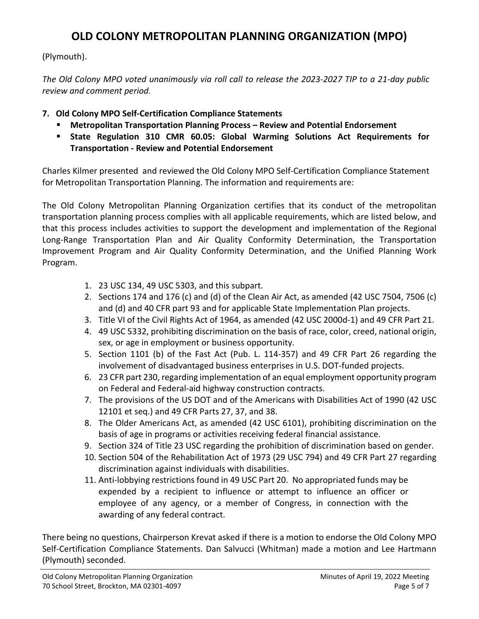(Plymouth).

*The Old Colony MPO voted unanimously via roll call to release the 2023-2027 TIP to a 21-day public review and comment period.*

- **7. Old Colony MPO Self-Certification Compliance Statements**
	- **Metropolitan Transportation Planning Process – Review and Potential Endorsement**
	- **State Regulation 310 CMR 60.05: Global Warming Solutions Act Requirements for Transportation - Review and Potential Endorsement**

Charles Kilmer presented and reviewed the Old Colony MPO Self-Certification Compliance Statement for Metropolitan Transportation Planning. The information and requirements are:

The Old Colony Metropolitan Planning Organization certifies that its conduct of the metropolitan transportation planning process complies with all applicable requirements, which are listed below, and that this process includes activities to support the development and implementation of the Regional Long-Range Transportation Plan and Air Quality Conformity Determination, the Transportation Improvement Program and Air Quality Conformity Determination, and the Unified Planning Work Program.

- 1. 23 USC 134, 49 USC 5303, and this subpart.
- 2. Sections 174 and 176 (c) and (d) of the Clean Air Act, as amended (42 USC 7504, 7506 (c) and (d) and 40 CFR part 93 and for applicable State Implementation Plan projects.
- 3. Title VI of the Civil Rights Act of 1964, as amended (42 USC 2000d-1) and 49 CFR Part 21.
- 4. 49 USC 5332, prohibiting discrimination on the basis of race, color, creed, national origin, sex, or age in employment or business opportunity.
- 5. Section 1101 (b) of the Fast Act (Pub. L. 114-357) and 49 CFR Part 26 regarding the involvement of disadvantaged business enterprises in U.S. DOT-funded projects.
- 6. 23 CFR part 230, regarding implementation of an equal employment opportunity program on Federal and Federal-aid highway construction contracts.
- 7. The provisions of the US DOT and of the Americans with Disabilities Act of 1990 (42 USC 12101 et seq.) and 49 CFR Parts 27, 37, and 38.
- 8. The Older Americans Act, as amended (42 USC 6101), prohibiting discrimination on the basis of age in programs or activities receiving federal financial assistance.
- 9. Section 324 of Title 23 USC regarding the prohibition of discrimination based on gender.
- 10. Section 504 of the Rehabilitation Act of 1973 (29 USC 794) and 49 CFR Part 27 regarding discrimination against individuals with disabilities.
- 11. Anti-lobbying restrictions found in 49 USC Part 20. No appropriated funds may be expended by a recipient to influence or attempt to influence an officer or employee of any agency, or a member of Congress, in connection with the awarding of any federal contract.

There being no questions, Chairperson Krevat asked if there is a motion to endorse the Old Colony MPO Self-Certification Compliance Statements. Dan Salvucci (Whitman) made a motion and Lee Hartmann (Plymouth) seconded.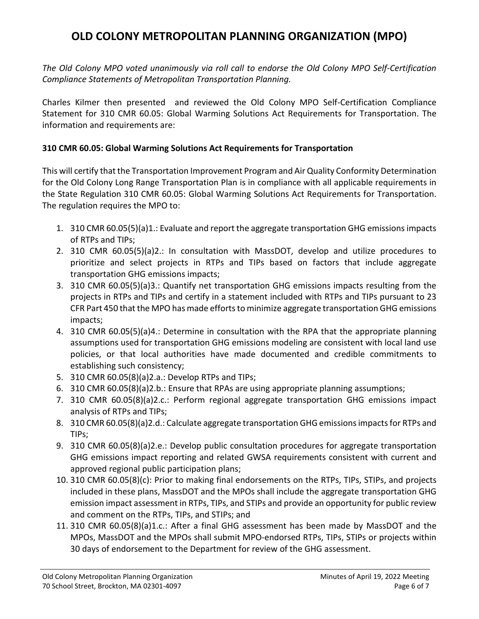*The Old Colony MPO voted unanimously via roll call to endorse the Old Colony MPO Self-Certification Compliance Statements of Metropolitan Transportation Planning.*

Charles Kilmer then presented and reviewed the Old Colony MPO Self-Certification Compliance Statement for 310 CMR 60.05: Global Warming Solutions Act Requirements for Transportation. The information and requirements are:

### **310 CMR 60.05: Global Warming Solutions Act Requirements for Transportation**

This will certify that the Transportation Improvement Program and Air Quality Conformity Determination for the Old Colony Long Range Transportation Plan is in compliance with all applicable requirements in the State Regulation 310 CMR 60.05: Global Warming Solutions Act Requirements for Transportation. The regulation requires the MPO to:

- 1. 310 CMR 60.05(5)(a)1.: Evaluate and report the aggregate transportation GHG emissions impacts of RTPs and TIPs;
- 2. 310 CMR 60.05(5)(a)2.: In consultation with MassDOT, develop and utilize procedures to prioritize and select projects in RTPs and TIPs based on factors that include aggregate transportation GHG emissions impacts;
- 3. 310 CMR 60.05(5)(a)3.: Quantify net transportation GHG emissions impacts resulting from the projects in RTPs and TIPs and certify in a statement included with RTPs and TIPs pursuant to 23 CFR Part 450 that the MPO has made efforts to minimize aggregate transportation GHG emissions impacts;
- 4. 310 CMR 60.05(5)(a)4.: Determine in consultation with the RPA that the appropriate planning assumptions used for transportation GHG emissions modeling are consistent with local land use policies, or that local authorities have made documented and credible commitments to establishing such consistency;
- 5. 310 CMR 60.05(8)(a)2.a.: Develop RTPs and TIPs;
- 6. 310 CMR 60.05(8)(a)2.b.: Ensure that RPAs are using appropriate planning assumptions;
- 7. 310 CMR 60.05(8)(a)2.c.: Perform regional aggregate transportation GHG emissions impact analysis of RTPs and TIPs;
- 8. 310 CMR 60.05(8)(a)2.d.: Calculate aggregate transportation GHG emissions impacts for RTPs and TIPs;
- 9. 310 CMR 60.05(8)(a)2.e.: Develop public consultation procedures for aggregate transportation GHG emissions impact reporting and related GWSA requirements consistent with current and approved regional public participation plans;
- 10. 310 CMR 60.05(8)(c): Prior to making final endorsements on the RTPs, TIPs, STIPs, and projects included in these plans, MassDOT and the MPOs shall include the aggregate transportation GHG emission impact assessment in RTPs, TIPs, and STIPs and provide an opportunity for public review and comment on the RTPs, TIPs, and STIPs; and
- 11. 310 CMR 60.05(8)(a)1.c.: After a final GHG assessment has been made by MassDOT and the MPOs, MassDOT and the MPOs shall submit MPO-endorsed RTPs, TIPs, STIPs or projects within 30 days of endorsement to the Department for review of the GHG assessment.